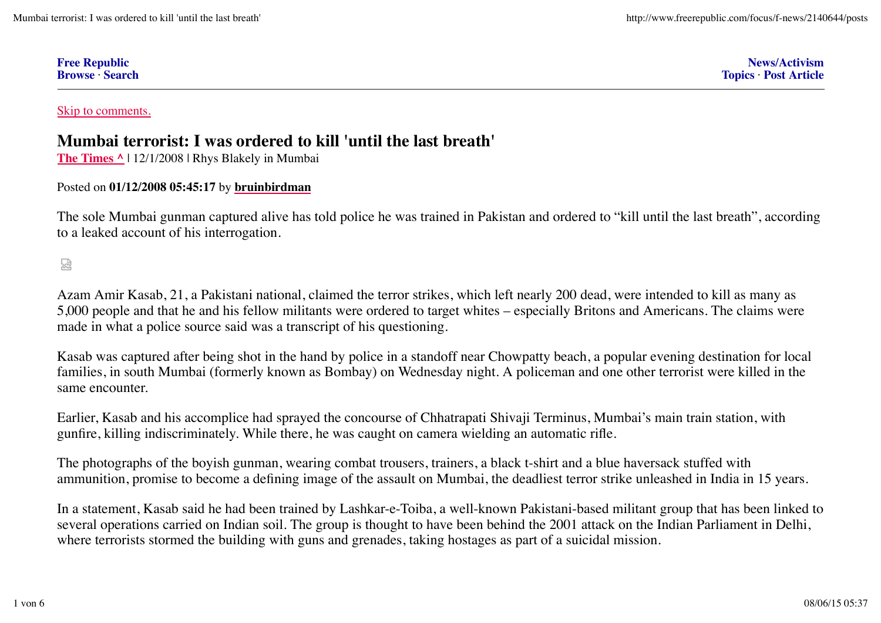| <b>Free Republic</b> |  |
|----------------------|--|
| <b>Browse</b> Search |  |

**News/Activism Topics** · **Post Article**

Skip to comments.

# **Mumbai terrorist: I was ordered to kill 'until the last breath'**

**The Times ^** | 12/1/2008 | Rhys Blakely in Mumbai

# Posted on **01/12/2008 05:45:17** by **bruinbirdman**

The sole Mumbai gunman captured alive has told police he was trained in Pakistan and ordered to "kill until the last breath", according to a leaked account of his interrogation.

썮

Azam Amir Kasab, 21, a Pakistani national, claimed the terror strikes, which left nearly 200 dead, were intended to kill as many as 5,000 people and that he and his fellow militants were ordered to target whites – especially Britons and Americans. The claims were made in what a police source said was a transcript of his questioning.

Kasab was captured after being shot in the hand by police in a standoff near Chowpatty beach, a popular evening destination for local families, in south Mumbai (formerly known as Bombay) on Wednesday night. A policeman and one other terrorist were killed in the same encounter.

Earlier, Kasab and his accomplice had sprayed the concourse of Chhatrapati Shivaji Terminus, Mumbai's main train station, with gunfire, killing indiscriminately. While there, he was caught on camera wielding an automatic rifle.

The photographs of the boyish gunman, wearing combat trousers, trainers, a black t-shirt and a blue haversack stuffed with ammunition, promise to become a defining image of the assault on Mumbai, the deadliest terror strike unleashed in India in 15 years.

In a statement, Kasab said he had been trained by Lashkar-e-Toiba, a well-known Pakistani-based militant group that has been linked to several operations carried on Indian soil. The group is thought to have been behind the 2001 attack on the Indian Parliament in Delhi, where terrorists stormed the building with guns and grenades, taking hostages as part of a suicidal mission.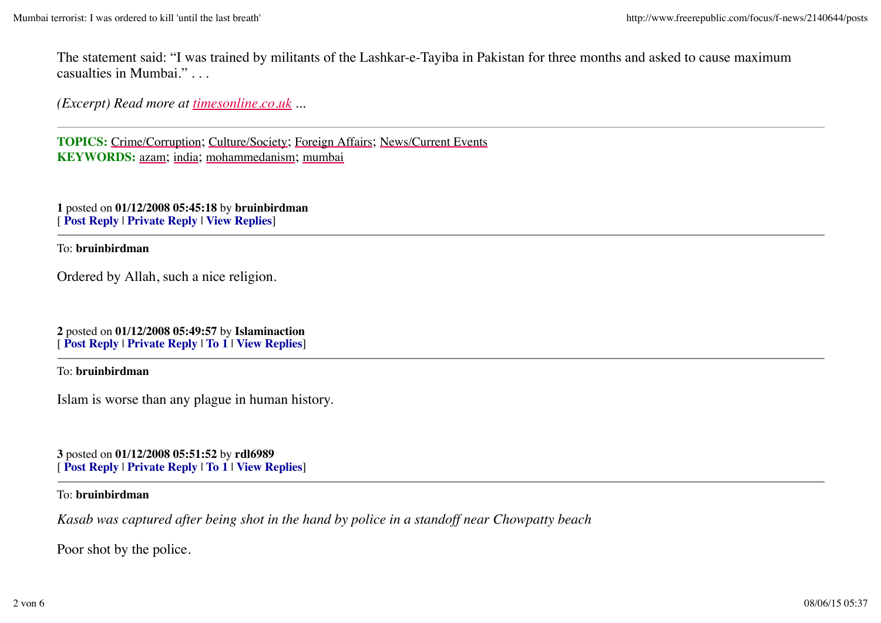The statement said: "I was trained by militants of the Lashkar-e-Tayiba in Pakistan for three months and asked to cause maximum casualties in Mumbai." . . .

*(Excerpt) Read more at timesonline.co.uk ...*

**TOPICS:** Crime/Corruption; Culture/Society; Foreign Affairs; News/Current Events **KEYWORDS:** azam; india; mohammedanism; mumbai

**1** posted on **01/12/2008 05:45:18** by **bruinbirdman** [ **Post Reply** | **Private Reply** | **View Replies**]

To: **bruinbirdman**

Ordered by Allah, such a nice religion.

**2** posted on **01/12/2008 05:49:57** by **Islaminaction** [ **Post Reply** | **Private Reply** | **To 1** | **View Replies**]

To: **bruinbirdman**

Islam is worse than any plague in human history.

**3** posted on **01/12/2008 05:51:52** by **rdl6989** [ **Post Reply** | **Private Reply** | **To 1** | **View Replies**]

## To: **bruinbirdman**

*Kasab was captured after being shot in the hand by police in a standoff near Chowpatty beach*

Poor shot by the police.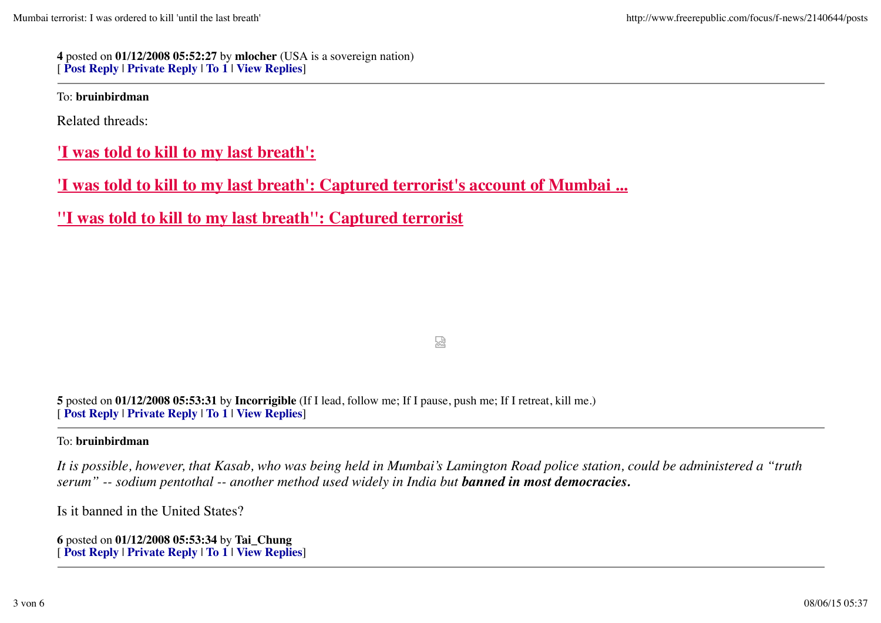**4** posted on **01/12/2008 05:52:27** by **mlocher** (USA is a sovereign nation) [ **Post Reply** | **Private Reply** | **To 1** | **View Replies**]

To: **bruinbirdman**

Related threads:

**'I was told to kill to my last breath':**

**'I was told to kill to my last breath': Captured terrorist's account of Mumbai ...**

**''I was told to kill to my last breath'': Captured terrorist**

鹙

**5** posted on **01/12/2008 05:53:31** by **Incorrigible** (If I lead, follow me; If I pause, push me; If I retreat, kill me.) [ **Post Reply** | **Private Reply** | **To 1** | **View Replies**]

## To: **bruinbirdman**

*It is possible, however, that Kasab, who was being held in Mumbai's Lamington Road police station, could be administered a "truth serum" -- sodium pentothal -- another method used widely in India but banned in most democracies.*

Is it banned in the United States?

**6** posted on **01/12/2008 05:53:34** by **Tai\_Chung** [ **Post Reply** | **Private Reply** | **To 1** | **View Replies**]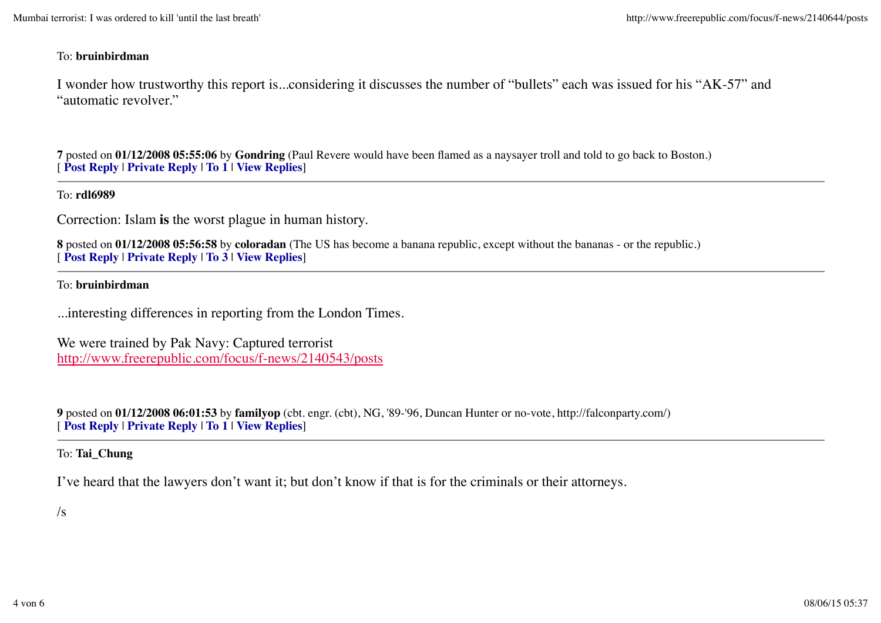## To: **bruinbirdman**

I wonder how trustworthy this report is...considering it discusses the number of "bullets" each was issued for his "AK-57" and "automatic revolver."

**7** posted on **01/12/2008 05:55:06** by **Gondring** (Paul Revere would have been flamed as a naysayer troll and told to go back to Boston.) [ **Post Reply** | **Private Reply** | **To 1** | **View Replies**]

#### To: **rdl6989**

Correction: Islam **is** the worst plague in human history.

**8** posted on **01/12/2008 05:56:58** by **coloradan** (The US has become a banana republic, except without the bananas - or the republic.) [ **Post Reply** | **Private Reply** | **To 3** | **View Replies**]

#### To: **bruinbirdman**

...interesting differences in reporting from the London Times.

We were trained by Pak Navy: Captured terrorist http://www.freerepublic.com/focus/f-news/2140543/posts

**9** posted on **01/12/2008 06:01:53** by **familyop** (cbt. engr. (cbt), NG, '89-'96, Duncan Hunter or no-vote, http://falconparty.com/) [ **Post Reply** | **Private Reply** | **To 1** | **View Replies**]

## To: **Tai\_Chung**

I've heard that the lawyers don't want it; but don't know if that is for the criminals or their attorneys.

## $\sqrt{s}$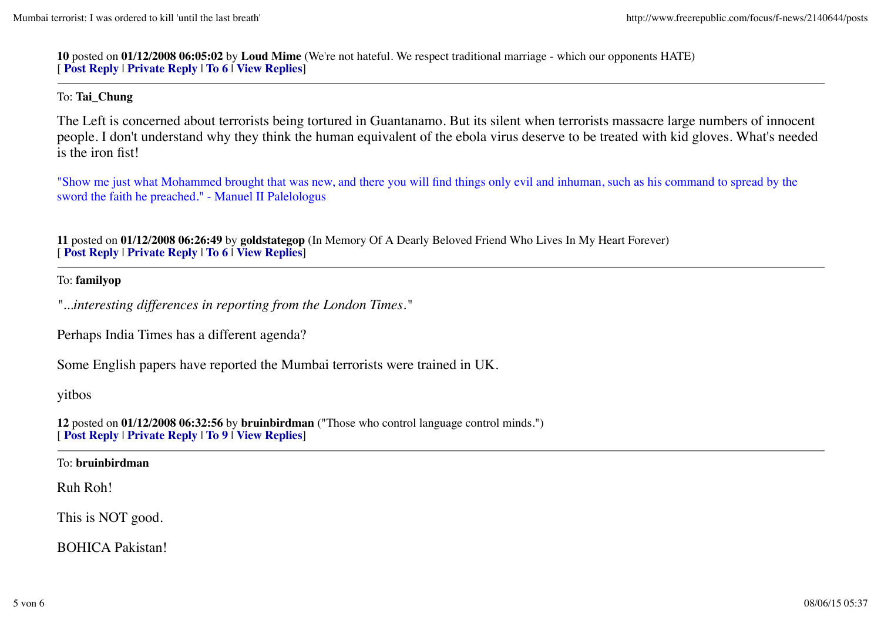**10** posted on **01/12/2008 06:05:02** by **Loud Mime** (We're not hateful. We respect traditional marriage - which our opponents HATE) [ **Post Reply** | **Private Reply** | **To 6** | **View Replies**]

## To: **Tai\_Chung**

The Left is concerned about terrorists being tortured in Guantanamo. But its silent when terrorists massacre large numbers of innocent people. I don't understand why they think the human equivalent of the ebola virus deserve to be treated with kid gloves. What's needed is the iron fist!

"Show me just what Mohammed brought that was new, and there you will find things only evil and inhuman, such as his command to spread by the sword the faith he preached." - Manuel II Palelologus

**11** posted on **01/12/2008 06:26:49** by **goldstategop** (In Memory Of A Dearly Beloved Friend Who Lives In My Heart Forever) [ **Post Reply** | **Private Reply** | **To 6** | **View Replies**]

#### To: **familyop**

*"...interesting differences in reporting from the London Times."*

Perhaps India Times has a different agenda?

Some English papers have reported the Mumbai terrorists were trained in UK.

## yitbos

**12** posted on **01/12/2008 06:32:56** by **bruinbirdman** ("Those who control language control minds.") [ **Post Reply** | **Private Reply** | **To 9** | **View Replies**]

#### To: **bruinbirdman**

## Ruh Roh!

This is NOT good.

BOHICA Pakistan!